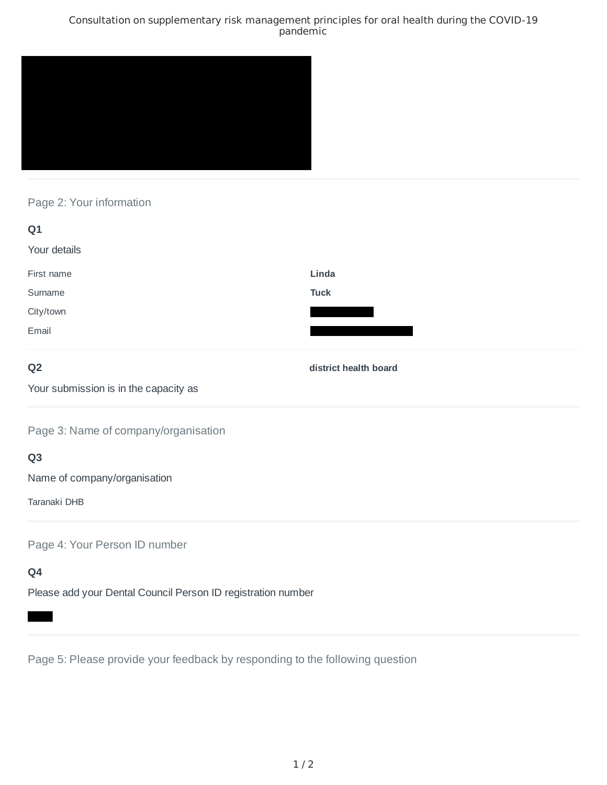### Consultation on supplementary risk management principles for oral health during the COVID-19 pandemic



## Page 2: Your information

| Q1           |             |
|--------------|-------------|
| Your details |             |
| First name   | Linda       |
| Surname      | <b>Tuck</b> |
| City/town    |             |
| Email        |             |

## **Q2**

**district health board**

Your submission is in the capacity as

Page 3: Name of company/organisation

## **Q3**

Name of company/organisation

Taranaki DHB

Page 4: Your Person ID number

# **Q4**

Please add your Dental Council Person ID registration number

Page 5: Please provide your feedback by responding to the following question